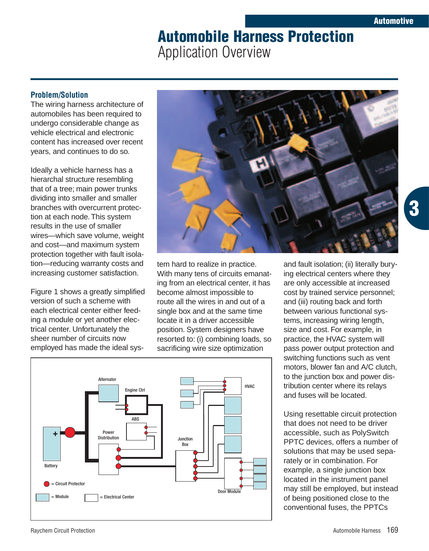# **Automobile Harness Protection** Application Overview

## **Problem/Solution**

The wiring harness architecture of automobiles has been required to undergo considerable change as vehicle electrical and electronic content has increased over recent years, and continues to do so.

Ideally a vehicle harness has a hierarchal structure resembling that of a tree; main power trunks dividing into smaller and smaller branches with overcurrent protection at each node. This system results in the use of smaller wires—which save volume, weight and cost—and maximum system protection together with fault isolation—reducing warranty costs and increasing customer satisfaction.

Figure 1 shows a greatly simplified version of such a scheme with each electrical center either feeding a module or yet another electrical center. Unfortunately the sheer number of circuits now employed has made the ideal sys-



tem hard to realize in practice. With many tens of circuits emanating from an electrical center, it has become almost impossible to route all the wires in and out of a single box and at the same time locate it in a driver accessible position. System designers have resorted to: (i) combining loads, so sacrificing wire size optimization



and fault isolation; (ii) literally burying electrical centers where they are only accessible at increased cost by trained service personnel; and (iii) routing back and forth between various functional systems, increasing wiring length, size and cost. For example, in practice, the HVAC system will pass power output protection and switching functions such as vent motors, blower fan and A/C clutch, to the junction box and power distribution center where its relays and fuses will be located.

Using resettable circuit protection that does not need to be driver accessible, such as PolySwitch PPTC devices, offers a number of solutions that may be used separately or in combination. For example, a single junction box located in the instrument panel may still be employed, but instead of being positioned close to the conventional fuses, the PPTCs